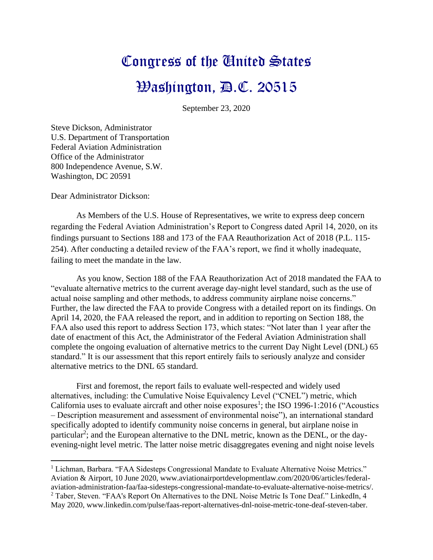## Congress of the United States Washington, D.C. 20515

September 23, 2020

Steve Dickson, Administrator U.S. Department of Transportation Federal Aviation Administration Office of the Administrator 800 Independence Avenue, S.W. Washington, DC 20591

Dear Administrator Dickson:

As Members of the U.S. House of Representatives, we write to express deep concern regarding the Federal Aviation Administration's Report to Congress dated April 14, 2020, on its findings pursuant to Sections 188 and 173 of the FAA Reauthorization Act of 2018 (P.L. 115- 254). After conducting a detailed review of the FAA's report, we find it wholly inadequate, failing to meet the mandate in the law.

As you know, Section 188 of the FAA Reauthorization Act of 2018 mandated the FAA to "evaluate alternative metrics to the current average day-night level standard, such as the use of actual noise sampling and other methods, to address community airplane noise concerns." Further, the law directed the FAA to provide Congress with a detailed report on its findings. On April 14, 2020, the FAA released the report, and in addition to reporting on Section 188, the FAA also used this report to address Section 173, which states: "Not later than 1 year after the date of enactment of this Act, the Administrator of the Federal Aviation Administration shall complete the ongoing evaluation of alternative metrics to the current Day Night Level (DNL) 65 standard." It is our assessment that this report entirely fails to seriously analyze and consider alternative metrics to the DNL 65 standard.

First and foremost, the report fails to evaluate well-respected and widely used alternatives, including: the Cumulative Noise Equivalency Level ("CNEL") metric, which California uses to evaluate aircraft and other noise exposures<sup>1</sup>; the ISO 1996-1:2016 ("Acoustics – Description measurement and assessment of environmental noise"), an international standard specifically adopted to identify community noise concerns in general, but airplane noise in particular<sup>2</sup>; and the European alternative to the DNL metric, known as the DENL, or the dayevening-night level metric. The latter noise metric disaggregates evening and night noise levels

<sup>&</sup>lt;sup>1</sup> Lichman, Barbara. "FAA Sidesteps Congressional Mandate to Evaluate Alternative Noise Metrics." Aviation & Airport, 10 June 2020, www.aviationairportdevelopmentlaw.com/2020/06/articles/federalaviation-administration-faa/faa-sidesteps-congressional-mandate-to-evaluate-alternative-noise-metrics/. <sup>2</sup> Taber, Steven. "FAA's Report On Alternatives to the DNL Noise Metric Is Tone Deaf." LinkedIn, 4 May 2020, www.linkedin.com/pulse/faas-report-alternatives-dnl-noise-metric-tone-deaf-steven-taber.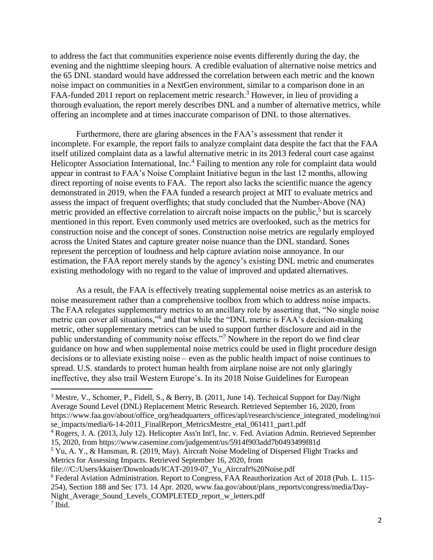to address the fact that communities experience noise events differently during the day, the evening and the nighttime sleeping hours. A credible evaluation of alternative noise metrics and the 65 DNL standard would have addressed the correlation between each metric and the known noise impact on communities in a NextGen environment, similar to a comparison done in an FAA-funded 2011 report on replacement metric research.<sup>3</sup> However, in lieu of providing a thorough evaluation, the report merely describes DNL and a number of alternative metrics, while offering an incomplete and at times inaccurate comparison of DNL to those alternatives.

Furthermore, there are glaring absences in the FAA's assessment that render it incomplete. For example, the report fails to analyze complaint data despite the fact that the FAA itself utilized complaint data as a lawful alternative metric in its 2013 federal court case against Helicopter Association International, Inc.<sup>4</sup> Failing to mention any role for complaint data would appear in contrast to FAA's Noise Complaint Initiative begun in the last 12 months, allowing direct reporting of noise events to FAA. The report also lacks the scientific nuance the agency demonstrated in 2019, when the FAA funded a research project at MIT to evaluate metrics and assess the impact of frequent overflights; that study concluded that the Number-Above (NA) metric provided an effective correlation to aircraft noise impacts on the public,<sup>5</sup> but is scarcely mentioned in this report. Even commonly used metrics are overlooked, such as the metrics for construction noise and the concept of sones. Construction noise metrics are regularly employed across the United States and capture greater noise nuance than the DNL standard. Sones represent the perception of loudness and help capture aviation noise annoyance. In our estimation, the FAA report merely stands by the agency's existing DNL metric and enumerates existing methodology with no regard to the value of improved and updated alternatives.

As a result, the FAA is effectively treating supplemental noise metrics as an asterisk to noise measurement rather than a comprehensive toolbox from which to address noise impacts. The FAA relegates supplementary metrics to an ancillary role by asserting that, "No single noise metric can cover all situations,"<sup>6</sup> and that while the "DNL metric is FAA's decision-making metric, other supplementary metrics can be used to support further disclosure and aid in the public understanding of community noise effects."<sup>7</sup> Nowhere in the report do we find clear guidance on how and when supplemental noise metrics could be used in flight procedure design decisions or to alleviate existing noise – even as the public health impact of noise continues to spread. U.S. standards to protect human health from airplane noise are not only glaringly ineffective, they also trail Western Europe's. In its 2018 Noise Guidelines for European

<sup>&</sup>lt;sup>3</sup> Mestre, V., Schomer, P., Fidell, S., & Berry, B. (2011, June 14). Technical Support for Day/Night Average Sound Level (DNL) Replacement Metric Research. Retrieved September 16, 2020, from https://www.faa.gov/about/office\_org/headquarters\_offices/apl/research/science\_integrated\_modeling/noi se\_impacts/media/6-14-2011\_FinalReport\_MetricsMestre\_etal\_061411\_part1.pdf

<sup>4</sup> Rogers, J. A. (2013, July 12). Helicopter Ass'n Int'l, Inc. v. Fed. Aviation Admin. Retrieved September 15, 2020, from https://www.casemine.com/judgement/us/5914f903add7b0493499f81d

<sup>5</sup> Yu, A. Y., & Hansman, R. (2019, May). Aircraft Noise Modeling of Dispersed Flight Tracks and Metrics for Assessing Impacts. Retrieved September 16, 2020, from

file:///C:/Users/kkaiser/Downloads/ICAT-2019-07\_Yu\_Aircraft%20Noise.pdf

<sup>6</sup> Federal Aviation Administration. Report to Congress, FAA Reauthorization Act of 2018 (Pub. L. 115- 254), Section 188 and Sec 173. 14 Apr. 2020, www.faa.gov/about/plans\_reports/congress/media/Day-Night Average Sound Levels COMPLETED report w letters.pdf 7 Ibid.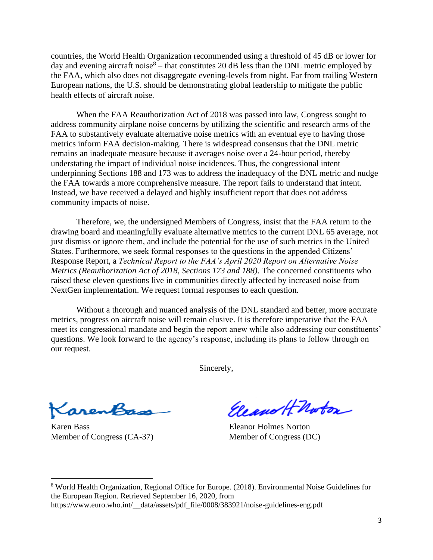countries, the World Health Organization recommended using a threshold of 45 dB or lower for day and evening aircraft noise<sup>8</sup> – that constitutes 20 dB less than the DNL metric employed by the FAA, which also does not disaggregate evening-levels from night. Far from trailing Western European nations, the U.S. should be demonstrating global leadership to mitigate the public health effects of aircraft noise.

When the FAA Reauthorization Act of 2018 was passed into law, Congress sought to address community airplane noise concerns by utilizing the scientific and research arms of the FAA to substantively evaluate alternative noise metrics with an eventual eye to having those metrics inform FAA decision-making. There is widespread consensus that the DNL metric remains an inadequate measure because it averages noise over a 24-hour period, thereby understating the impact of individual noise incidences. Thus, the congressional intent underpinning Sections 188 and 173 was to address the inadequacy of the DNL metric and nudge the FAA towards a more comprehensive measure. The report fails to understand that intent. Instead, we have received a delayed and highly insufficient report that does not address community impacts of noise.

Therefore, we, the undersigned Members of Congress, insist that the FAA return to the drawing board and meaningfully evaluate alternative metrics to the current DNL 65 average, not just dismiss or ignore them, and include the potential for the use of such metrics in the United States. Furthermore, we seek formal responses to the questions in the appended Citizens' Response Report, a *Technical Report to the FAA's April 2020 Report on Alternative Noise Metrics (Reauthorization Act of 2018, Sections 173 and 188)*. The concerned constituents who raised these eleven questions live in communities directly affected by increased noise from NextGen implementation. We request formal responses to each question.

Without a thorough and nuanced analysis of the DNL standard and better, more accurate metrics, progress on aircraft noise will remain elusive. It is therefore imperative that the FAA meet its congressional mandate and begin the report anew while also addressing our constituents' questions. We look forward to the agency's response, including its plans to follow through on our request.

Sincerely,

KarenBass

Karen Bass Eleanor Holmes Norton Member of Congress (CA-37) Member of Congress (DC)

Eleano H Noton

<sup>8</sup> World Health Organization, Regional Office for Europe. (2018). Environmental Noise Guidelines for the European Region. Retrieved September 16, 2020, from https://www.euro.who.int/\_\_data/assets/pdf\_file/0008/383921/noise-guidelines-eng.pdf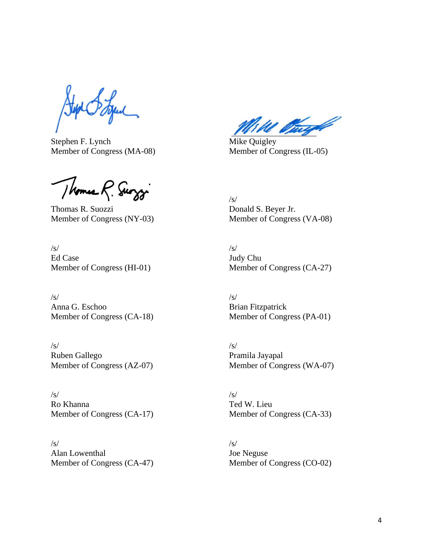Stephen F. Lynch Mike Quigley

Thomas R. Surggi

Thomas R. Suozzi Donald S. Beyer Jr. Member of Congress (NY-03) Member of Congress (VA-08)

 $\sqrt{s}$ / $\sqrt{s}$ / $\sqrt{s}$ / $\sqrt{s}$ / $\sqrt{s}$ / $\sqrt{s}$ / $\sqrt{s}$ / $\sqrt{s}$ / $\sqrt{s}$ / $\sqrt{s}$ / $\sqrt{s}$ / $\sqrt{s}$ / $\sqrt{s}$ / $\sqrt{s}$ / $\sqrt{s}$ / $\sqrt{s}$ / $\sqrt{s}$ / $\sqrt{s}$ / $\sqrt{s}$ / $\sqrt{s}$ / $\sqrt{s}$ / $\sqrt{s}$ / $\sqrt{s}$ / $\sqrt{s}$ / $\sqrt{s}$ / $\sqrt{s}$ / $\sqrt{s}$ / $\sqrt{s}$ / $\sqrt{s}$ / $\sqrt{s}$ / $\sqrt{s}$ / $\sqrt{s$ Ed Case Judy Chu

 $\sqrt{s}$ / $\sqrt{s}$ / $\sqrt{s}$ / $\sqrt{s}$ / $\sqrt{s}$ / $\sqrt{s}$ / $\sqrt{s}$ / $\sqrt{s}$ / $\sqrt{s}$ / $\sqrt{s}$ / $\sqrt{s}$ / $\sqrt{s}$ / $\sqrt{s}$ / $\sqrt{s}$ / $\sqrt{s}$ / $\sqrt{s}$ / $\sqrt{s}$ / $\sqrt{s}$ / $\sqrt{s}$ / $\sqrt{s}$ / $\sqrt{s}$ / $\sqrt{s}$ / $\sqrt{s}$ / $\sqrt{s}$ / $\sqrt{s}$ / $\sqrt{s}$ / $\sqrt{s}$ / $\sqrt{s}$ / $\sqrt{s}$ / $\sqrt{s}$ / $\sqrt{s}$ / $\sqrt{s$ Anna G. Eschoo Brian Fitzpatrick

 $\sqrt{s}$ / $\sqrt{s}$ / $\sqrt{s}$ / $\sqrt{s}$ / $\sqrt{s}$ / $\sqrt{s}$ / $\sqrt{s}$ / $\sqrt{s}$ / $\sqrt{s}$ / $\sqrt{s}$ / $\sqrt{s}$ / $\sqrt{s}$ / $\sqrt{s}$ / $\sqrt{s}$ / $\sqrt{s}$ / $\sqrt{s}$ / $\sqrt{s}$ / $\sqrt{s}$ / $\sqrt{s}$ / $\sqrt{s}$ / $\sqrt{s}$ / $\sqrt{s}$ / $\sqrt{s}$ / $\sqrt{s}$ / $\sqrt{s}$ / $\sqrt{s}$ / $\sqrt{s}$ / $\sqrt{s}$ / $\sqrt{s}$ / $\sqrt{s}$ / $\sqrt{s}$ / $\sqrt{s$ Ruben Gallego Pramila Jayapal<br>Member of Congress (AZ-07) Member of Cong

 $\sqrt{s}$ / $\sqrt{s}$ / $\sqrt{s}$ / $\sqrt{s}$ / $\sqrt{s}$ / $\sqrt{s}$ / $\sqrt{s}$ / $\sqrt{s}$ / $\sqrt{s}$ / $\sqrt{s}$ / $\sqrt{s}$ / $\sqrt{s}$ / $\sqrt{s}$ / $\sqrt{s}$ / $\sqrt{s}$ / $\sqrt{s}$ / $\sqrt{s}$ / $\sqrt{s}$ / $\sqrt{s}$ / $\sqrt{s}$ / $\sqrt{s}$ / $\sqrt{s}$ / $\sqrt{s}$ / $\sqrt{s}$ / $\sqrt{s}$ / $\sqrt{s}$ / $\sqrt{s}$ / $\sqrt{s}$ / $\sqrt{s}$ / $\sqrt{s}$ / $\sqrt{s}$ / $\sqrt{s$ Ro Khanna Ted W. Lieu

 $\sqrt{s}$ / $\sqrt{s}$ / $\sqrt{s}$ / $\sqrt{s}$ / $\sqrt{s}$ / $\sqrt{s}$ / $\sqrt{s}$ / $\sqrt{s}$ / $\sqrt{s}$ / $\sqrt{s}$ / $\sqrt{s}$ / $\sqrt{s}$ / $\sqrt{s}$ / $\sqrt{s}$ / $\sqrt{s}$ / $\sqrt{s}$ / $\sqrt{s}$ / $\sqrt{s}$ / $\sqrt{s}$ / $\sqrt{s}$ / $\sqrt{s}$ / $\sqrt{s}$ / $\sqrt{s}$ / $\sqrt{s}$ / $\sqrt{s}$ / $\sqrt{s}$ / $\sqrt{s}$ / $\sqrt{s}$ / $\sqrt{s}$ / $\sqrt{s}$ / $\sqrt{s}$ / $\sqrt{s$ Alan Lowenthal Joe Neguse

W Vingt

Member of Congress (MA-08) Member of Congress (IL-05)

/s/

Member of Congress (HI-01) Member of Congress (CA-27)

Member of Congress (CA-18) Member of Congress (PA-01)

Member of Congress (WA-07)

Member of Congress (CA-17) Member of Congress (CA-33)

Member of Congress (CA-47) Member of Congress (CO-02)